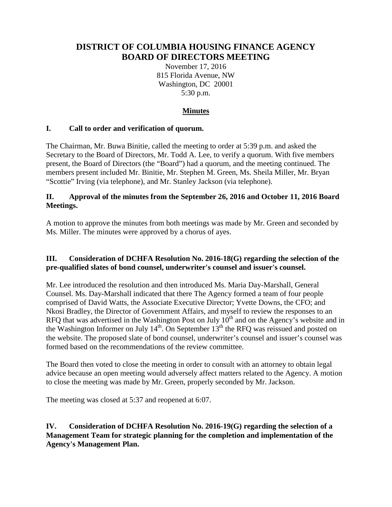# **DISTRICT OF COLUMBIA HOUSING FINANCE AGENCY BOARD OF DIRECTORS MEETING**

November 17, 2016 815 Florida Avenue, NW Washington, DC 20001 5:30 p.m.

## **Minutes**

## **I. Call to order and verification of quorum.**

The Chairman, Mr. Buwa Binitie, called the meeting to order at 5:39 p.m. and asked the Secretary to the Board of Directors, Mr. Todd A. Lee, to verify a quorum. With five members present, the Board of Directors (the "Board") had a quorum, and the meeting continued. The members present included Mr. Binitie, Mr. Stephen M. Green, Ms. Sheila Miller, Mr. Bryan "Scottie" Irving (via telephone), and Mr. Stanley Jackson (via telephone).

### **II. Approval of the minutes from the September 26, 2016 and October 11, 2016 Board Meetings.**

A motion to approve the minutes from both meetings was made by Mr. Green and seconded by Ms. Miller. The minutes were approved by a chorus of ayes.

### **III. Consideration of DCHFA Resolution No. 2016-18(G) regarding the selection of the pre-qualified slates of bond counsel, underwriter's counsel and issuer's counsel.**

Mr. Lee introduced the resolution and then introduced Ms. Maria Day-Marshall, General Counsel. Ms. Day-Marshall indicated that there The Agency formed a team of four people comprised of David Watts, the Associate Executive Director; Yvette Downs, the CFO; and Nkosi Bradley, the Director of Government Affairs, and myself to review the responses to an RFQ that was advertised in the Washington Post on July  $10<sup>th</sup>$  and on the Agency's website and in the Washington Informer on July  $14<sup>th</sup>$ . On September  $13<sup>th</sup>$  the RFQ was reissued and posted on the website. The proposed slate of bond counsel, underwriter's counsel and issuer's counsel was formed based on the recommendations of the review committee.

The Board then voted to close the meeting in order to consult with an attorney to obtain legal advice because an open meeting would adversely affect matters related to the Agency. A motion to close the meeting was made by Mr. Green, properly seconded by Mr. Jackson.

The meeting was closed at 5:37 and reopened at 6:07.

## **IV. Consideration of DCHFA Resolution No. 2016-19(G) regarding the selection of a Management Team for strategic planning for the completion and implementation of the Agency's Management Plan.**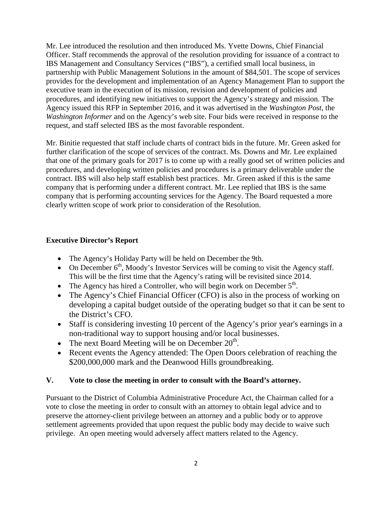Mr. Lee introduced the resolution and then introduced Ms. Yvette Downs, Chief Financial Officer. Staff recommends the approval of the resolution providing for issuance of a contract to IBS Management and Consultancy Services ("IBS"), a certified small local business, in partnership with Public Management Solutions in the amount of \$84,501. The scope of services provides for the development and implementation of an Agency Management Plan to support the executive team in the execution of its mission, revision and development of policies and procedures, and identifying new initiatives to support the Agency's strategy and mission. The Agency issued this RFP in September 2016, and it was advertised in the *Washington Post*, the *Washington Informer* and on the Agency's web site. Four bids were received in response to the request, and staff selected IBS as the most favorable respondent.

Mr. Binitie requested that staff include charts of contract bids in the future. Mr. Green asked for further clarification of the scope of services of the contract. Ms. Downs and Mr. Lee explained that one of the primary goals for 2017 is to come up with a really good set of written policies and procedures, and developing written policies and procedures is a primary deliverable under the contract. IBS will also help staff establish best practices. Mr. Green asked if this is the same company that is performing under a different contract. Mr. Lee replied that IBS is the same company that is performing accounting services for the Agency. The Board requested a more clearly written scope of work prior to consideration of the Resolution.

### **Executive Director's Report**

- The Agency's Holiday Party will be held on December the 9th.
- On December  $6<sup>th</sup>$ , Moody's Investor Services will be coming to visit the Agency staff. This will be the first time that the Agency's rating will be revisited since 2014.
- The Agency has hired a Controller, who will begin work on December  $5<sup>th</sup>$ .
- The Agency's Chief Financial Officer (CFO) is also in the process of working on developing a capital budget outside of the operating budget so that it can be sent to the District's CFO.
- Staff is considering investing 10 percent of the Agency's prior year's earnings in a non-traditional way to support housing and/or local businesses.
- The next Board Meeting will be on December  $20<sup>th</sup>$ .
- Recent events the Agency attended: The Open Doors celebration of reaching the \$200,000,000 mark and the Deanwood Hills groundbreaking.

#### **V. Vote to close the meeting in order to consult with the Board's attorney.**

Pursuant to the District of Columbia Administrative Procedure Act, the Chairman called for a vote to close the meeting in order to consult with an attorney to obtain legal advice and to preserve the attorney-client privilege between an attorney and a public body or to approve settlement agreements provided that upon request the public body may decide to waive such privilege. An open meeting would adversely affect matters related to the Agency.